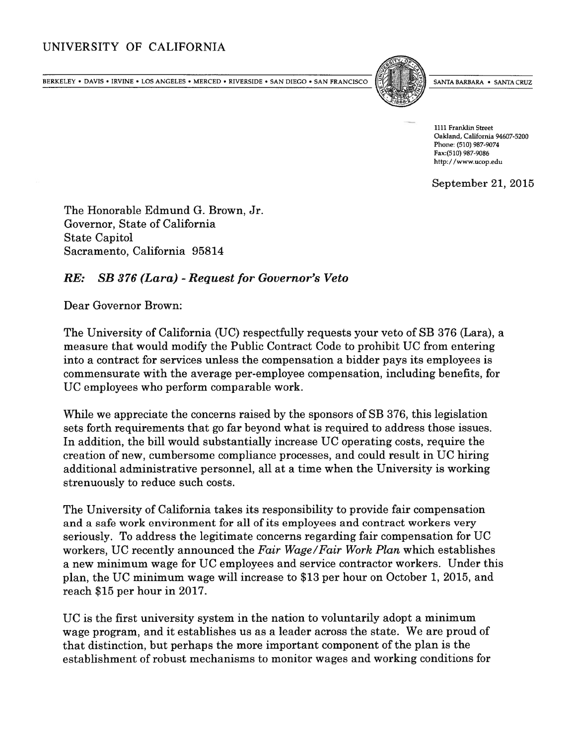## UNIVERSITY OF CALIFORNIA

BERKELEY • DAVIS • IRVINE • LOS ANGELES • MERCED • RIVERSIDE • SAN DIEGO • SAN FRANCISCO [[/] SANTA BARBARA • SANTA CRUZ



1111 Franklin Street Oakland, California 94607-5200 Phone: (510) 987-9074 Fax:(510) 987-9086 http://www.ucop.edu

September 21, 2015

The Honorable Edmund G. Brown, Jr. Governor, State of California State Capitol Sacramento, California 95814

## RE: SB 376 (Lara) - Request for Governor's Veto

Dear Governor Brown:

The University of California (UC) respectfully requests your veto of SB 376 (Lara), <sup>a</sup> measure that would modify the Public Contract Code to prohibit UC from entering into <sup>a</sup> contract for services unless the compensation <sup>a</sup> bidder pays its employees is commensurate with the average per-employee compensation, including benefits, for UC employees who perform comparable work.

While we appreciate the concerns raised by the sponsors of SB 376, this legislation sets forth requirements that go far beyond what is required to address those issues. In addition, the bill would substantially increase UC operating costs, require the creation of new, cumbersome compliance processes, and could result in UC hiring additional administrative personnel, all at <sup>a</sup> time when the University is working strenuously to reduce such costs.

The University of California takes its responsibility to provide fair compensation and <sup>a</sup> safe work environment for all of its employees and contract workers very seriously. To address the legitimate concerns regarding fair compensation for UC workers, UC recently announced the Fair Wage/Fair Work Plan which establishes <sup>a</sup> new minimum wage for UC employees and service contractor workers. Under this <sup>p</sup>lan, the UC minimum wage will increase to \$13 per hour on October 1, 2015, and reach \$15 per hour in 2017.

UC is the first university system in the nation to voluntarily adopt <sup>a</sup> minimum wage program, and it establishes us as <sup>a</sup> leader across the state. We are prou<sup>d</sup> of that distinction, but perhaps the more important componen<sup>t</sup> of the plan is the establishment of robust mechanisms to monitor wages and working conditions for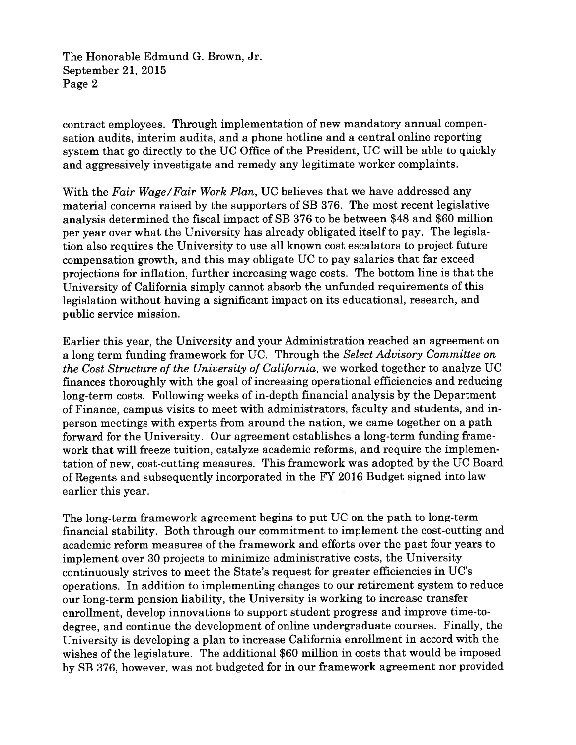The Honorable Edmund G. Brown, Jr. September 21, 2015 Page 2

contract employees. Through implementation of new mandatory annual compen sation audits, interim audits, and <sup>a</sup> phone hotline and <sup>a</sup> central online reporting system that go directly to the UC Office of the President, UC will be able to quickly and aggressively investigate and remedy any legitimate worker complaints.

With the Fair Wage/Fair Work Plan, UC believes that we have addressed any material concerns raised by the supporters of SB 376. The most recent legislative analysis determined the fiscal impact of SB <sup>376</sup> to be between \$48 and \$60 million per year over what the University has already obligated itself to pay. The legisla tion also requires the University to use all known cost escalators to project future compensation growth, and this may obligate UC to pay salaries that far exceed projections for inflation, further increasing wage costs. The bottom line is that the University of California simply cannot absorb the unfunded requirements of this legislation without having <sup>a</sup> significant impact on its educational, research, and public service mission.

Earlier this year, the University and your Administration reached an agreemen<sup>t</sup> on <sup>a</sup> long term funding framework for UC. Through the Select Advisory Committee on the Cost Structure of the University of California, we worked together to analyze UC finances thoroughly with the goal of increasing operational efficiencies and reducing long-term costs. Following weeks of in-depth financial analysis by the Department of Finance, campus visits to meet with administrators, faculty and students, and inperson meetings with experts from around the nation, we came together on <sup>a</sup> path forward for the University. Our agreemen<sup>t</sup> establishes <sup>a</sup> long-term funding frame work that will freeze tuition, catalyze academic reforms, and require the implemen tation of new, cost-cutting measures. This framework was adopted by the UC Board of Regents and subsequently incorporated in the FY <sup>2016</sup> Budget signed into law earlier this year.

The long-term framework agreemen<sup>t</sup> begins to pu<sup>t</sup> UC on the path to long-term financial stability. Both through our commitment to implement the cost-cutting and academic reform measures of the framework and efforts over the pas<sup>t</sup> four years to implement over 30 projects to minimize administrative costs, the University continuously strives to meet the State's reques<sup>t</sup> for greater efficiencies in UC's operations. In addition to implementing changes to our retirement system to reduce our long-term pension liability, the University is working to increase transfer enrollment, develop innovations to suppor<sup>t</sup> student progress and improve time-to degree, and continue the development of online undergraduate courses. Finally, the University is developing <sup>a</sup> <sup>p</sup>lan to increase California enrollment in accord with the wishes of the legislature. The additional \$60 million in costs that would be imposed by SB 376, however, was not budgeted for in our framework agreemen<sup>t</sup> nor provided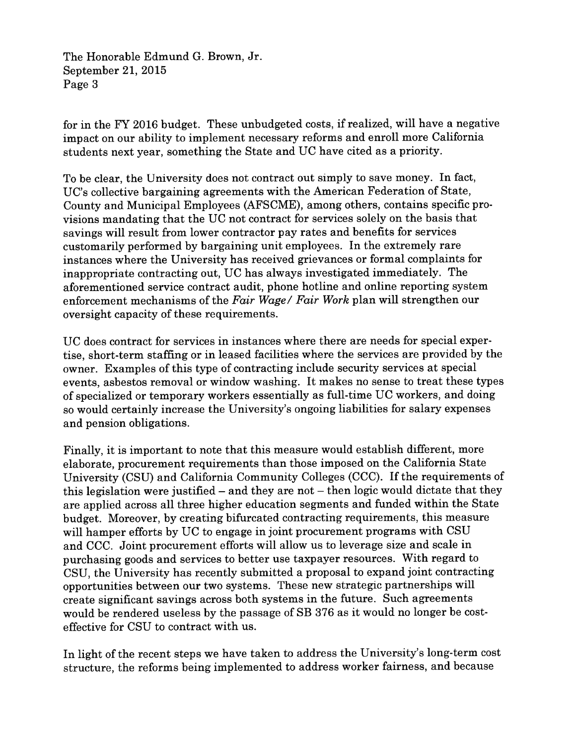The Honorable Edmund G. Brown, Jr. September 21, 2015 Page 3

for in the FY <sup>2016</sup> budget. These unbudgeted costs, if realized, will have <sup>a</sup> negative impact on our ability to implement necessary reforms and enroll more California students next year, something the State and UC have cited as <sup>a</sup> priority.

To be clear, the University does not contract out simply to save money. In fact, UC's collective bargaining agreements with the American Federation of State, County and Municipal Employees (AFSCME), among others, contains specific pro visions mandating that the UC not contract for services solely on the basis that savings will result from lower contractor pay rates and benefits for services customarily performed by bargaining unit employees. In the extremely rare instances where the University has received grievances or formal complaints for inappropriate contracting out, UC has always investigated immediately. The aforementioned service contract audit, phone hotline and online reporting system enforcement mechanisms of the Fair Wage/ Fair Work plan will strengthen our oversight capacity of these requirements.

UC does contract for services in instances where there are needs for special exper tise, short-term staffing or in leased facilities where the services are provided by the owner. Examples of this type of contracting include security services at special events, asbestos removal or window washing. It makes no sense to treat these types of specialized or temporary workers essentially as full-time UC workers, and doing so would certainly increase the University's ongoing liabilities for salary expenses and pension obligations.

Finally, it is important to note that this measure would establish different, more elaborate, procuremen<sup>t</sup> requirements than those imposed on the California State University (CSU) and California Community Colleges (CCC). If the requirements of this legislation were justified — and they are not — then logic would dictate that they are applied across all three higher education segments and funded within the State budget. Moreover, by creating bifurcated contracting requirements, this measure will hamper efforts by UC to engage in joint procurement programs with CSU and CCC. Joint procuremen<sup>t</sup> efforts will allow us to leverage size and scale in purchasing goods and services to better use taxpayer resources. With regar<sup>d</sup> to CSU, the University has recently submitted <sup>a</sup> proposa<sup>l</sup> to expan<sup>d</sup> joint contracting opportunities between our two systems. These new strategic partnerships will create significant savings across both systems in the future. Such agreements would be rendered useless by the passage of SB <sup>376</sup> as it would no longer be cost effective for CSU to contract with us.

In light of the recent steps we have taken to address the University's long-term cost structure, the reforms being implemented to address worker fairness, and because